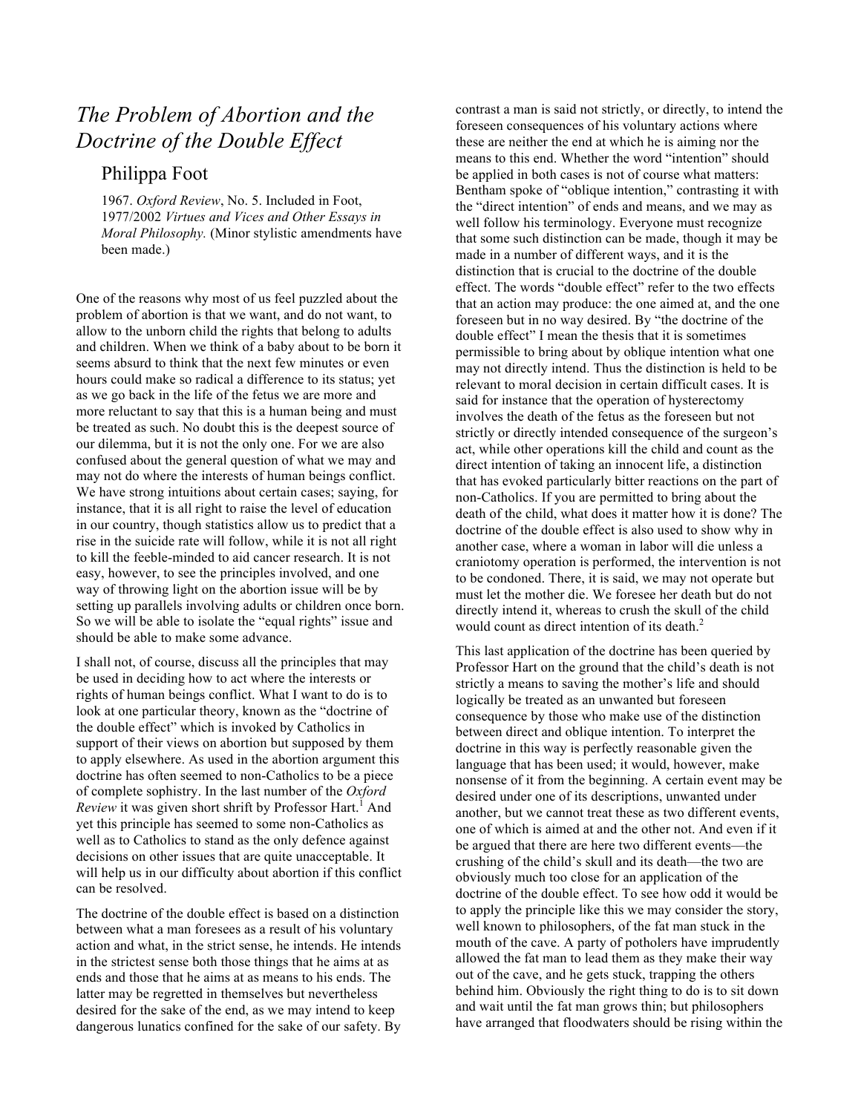## *The Problem of Abortion and the Doctrine of the Double Effect*

## Philippa Foot

1967. *Oxford Review*, No. 5. Included in Foot, 1977/2002 *Virtues and Vices and Other Essays in Moral Philosophy.* (Minor stylistic amendments have been made.)

One of the reasons why most of us feel puzzled about the problem of abortion is that we want, and do not want, to allow to the unborn child the rights that belong to adults and children. When we think of a baby about to be born it seems absurd to think that the next few minutes or even hours could make so radical a difference to its status; yet as we go back in the life of the fetus we are more and more reluctant to say that this is a human being and must be treated as such. No doubt this is the deepest source of our dilemma, but it is not the only one. For we are also confused about the general question of what we may and may not do where the interests of human beings conflict. We have strong intuitions about certain cases; saying, for instance, that it is all right to raise the level of education in our country, though statistics allow us to predict that a rise in the suicide rate will follow, while it is not all right to kill the feeble-minded to aid cancer research. It is not easy, however, to see the principles involved, and one way of throwing light on the abortion issue will be by setting up parallels involving adults or children once born. So we will be able to isolate the "equal rights" issue and should be able to make some advance.

I shall not, of course, discuss all the principles that may be used in deciding how to act where the interests or rights of human beings conflict. What I want to do is to look at one particular theory, known as the "doctrine of the double effect" which is invoked by Catholics in support of their views on abortion but supposed by them to apply elsewhere. As used in the abortion argument this doctrine has often seemed to non-Catholics to be a piece of complete sophistry. In the last number of the *Oxford Review* it was given short shrift by Professor Hart. <sup>1</sup> And yet this principle has seemed to some non-Catholics as well as to Catholics to stand as the only defence against decisions on other issues that are quite unacceptable. It will help us in our difficulty about abortion if this conflict can be resolved.

The doctrine of the double effect is based on a distinction between what a man foresees as a result of his voluntary action and what, in the strict sense, he intends. He intends in the strictest sense both those things that he aims at as ends and those that he aims at as means to his ends. The latter may be regretted in themselves but nevertheless desired for the sake of the end, as we may intend to keep dangerous lunatics confined for the sake of our safety. By

contrast a man is said not strictly, or directly, to intend the foreseen consequences of his voluntary actions where these are neither the end at which he is aiming nor the means to this end. Whether the word "intention" should be applied in both cases is not of course what matters: Bentham spoke of "oblique intention," contrasting it with the "direct intention" of ends and means, and we may as well follow his terminology. Everyone must recognize that some such distinction can be made, though it may be made in a number of different ways, and it is the distinction that is crucial to the doctrine of the double effect. The words "double effect" refer to the two effects that an action may produce: the one aimed at, and the one foreseen but in no way desired. By "the doctrine of the double effect" I mean the thesis that it is sometimes permissible to bring about by oblique intention what one may not directly intend. Thus the distinction is held to be relevant to moral decision in certain difficult cases. It is said for instance that the operation of hysterectomy involves the death of the fetus as the foreseen but not strictly or directly intended consequence of the surgeon's act, while other operations kill the child and count as the direct intention of taking an innocent life, a distinction that has evoked particularly bitter reactions on the part of non-Catholics. If you are permitted to bring about the death of the child, what does it matter how it is done? The doctrine of the double effect is also used to show why in another case, where a woman in labor will die unless a craniotomy operation is performed, the intervention is not to be condoned. There, it is said, we may not operate but must let the mother die. We foresee her death but do not directly intend it, whereas to crush the skull of the child would count as direct intention of its death.<sup>2</sup>

This last application of the doctrine has been queried by Professor Hart on the ground that the child's death is not strictly a means to saving the mother's life and should logically be treated as an unwanted but foreseen consequence by those who make use of the distinction between direct and oblique intention. To interpret the doctrine in this way is perfectly reasonable given the language that has been used; it would, however, make nonsense of it from the beginning. A certain event may be desired under one of its descriptions, unwanted under another, but we cannot treat these as two different events, one of which is aimed at and the other not. And even if it be argued that there are here two different events—the crushing of the child's skull and its death—the two are obviously much too close for an application of the doctrine of the double effect. To see how odd it would be to apply the principle like this we may consider the story, well known to philosophers, of the fat man stuck in the mouth of the cave. A party of potholers have imprudently allowed the fat man to lead them as they make their way out of the cave, and he gets stuck, trapping the others behind him. Obviously the right thing to do is to sit down and wait until the fat man grows thin; but philosophers have arranged that floodwaters should be rising within the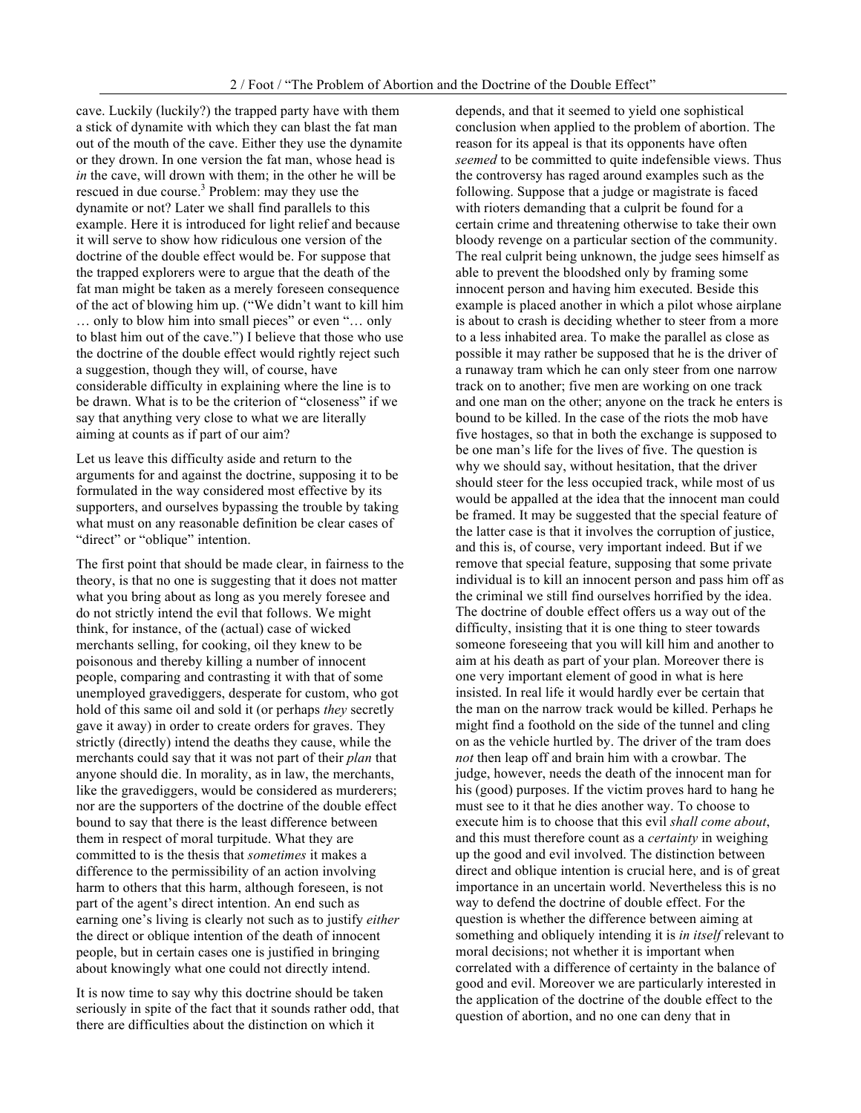cave. Luckily (luckily?) the trapped party have with them a stick of dynamite with which they can blast the fat man out of the mouth of the cave. Either they use the dynamite or they drown. In one version the fat man, whose head is *in* the cave, will drown with them; in the other he will be rescued in due course.<sup>3</sup> Problem: may they use the dynamite or not? Later we shall find parallels to this example. Here it is introduced for light relief and because it will serve to show how ridiculous one version of the doctrine of the double effect would be. For suppose that the trapped explorers were to argue that the death of the fat man might be taken as a merely foreseen consequence of the act of blowing him up. ("We didn't want to kill him … only to blow him into small pieces" or even "… only to blast him out of the cave.") I believe that those who use the doctrine of the double effect would rightly reject such a suggestion, though they will, of course, have considerable difficulty in explaining where the line is to be drawn. What is to be the criterion of "closeness" if we say that anything very close to what we are literally aiming at counts as if part of our aim?

Let us leave this difficulty aside and return to the arguments for and against the doctrine, supposing it to be formulated in the way considered most effective by its supporters, and ourselves bypassing the trouble by taking what must on any reasonable definition be clear cases of "direct" or "oblique" intention.

The first point that should be made clear, in fairness to the theory, is that no one is suggesting that it does not matter what you bring about as long as you merely foresee and do not strictly intend the evil that follows. We might think, for instance, of the (actual) case of wicked merchants selling, for cooking, oil they knew to be poisonous and thereby killing a number of innocent people, comparing and contrasting it with that of some unemployed gravediggers, desperate for custom, who got hold of this same oil and sold it (or perhaps *they* secretly gave it away) in order to create orders for graves. They strictly (directly) intend the deaths they cause, while the merchants could say that it was not part of their *plan* that anyone should die. In morality, as in law, the merchants, like the gravediggers, would be considered as murderers; nor are the supporters of the doctrine of the double effect bound to say that there is the least difference between them in respect of moral turpitude. What they are committed to is the thesis that *sometimes* it makes a difference to the permissibility of an action involving harm to others that this harm, although foreseen, is not part of the agent's direct intention. An end such as earning one's living is clearly not such as to justify *either* the direct or oblique intention of the death of innocent people, but in certain cases one is justified in bringing about knowingly what one could not directly intend.

It is now time to say why this doctrine should be taken seriously in spite of the fact that it sounds rather odd, that there are difficulties about the distinction on which it

depends, and that it seemed to yield one sophistical conclusion when applied to the problem of abortion. The reason for its appeal is that its opponents have often *seemed* to be committed to quite indefensible views. Thus the controversy has raged around examples such as the following. Suppose that a judge or magistrate is faced with rioters demanding that a culprit be found for a certain crime and threatening otherwise to take their own bloody revenge on a particular section of the community. The real culprit being unknown, the judge sees himself as able to prevent the bloodshed only by framing some innocent person and having him executed. Beside this example is placed another in which a pilot whose airplane is about to crash is deciding whether to steer from a more to a less inhabited area. To make the parallel as close as possible it may rather be supposed that he is the driver of a runaway tram which he can only steer from one narrow track on to another; five men are working on one track and one man on the other; anyone on the track he enters is bound to be killed. In the case of the riots the mob have five hostages, so that in both the exchange is supposed to be one man's life for the lives of five. The question is why we should say, without hesitation, that the driver should steer for the less occupied track, while most of us would be appalled at the idea that the innocent man could be framed. It may be suggested that the special feature of the latter case is that it involves the corruption of justice, and this is, of course, very important indeed. But if we remove that special feature, supposing that some private individual is to kill an innocent person and pass him off as the criminal we still find ourselves horrified by the idea. The doctrine of double effect offers us a way out of the difficulty, insisting that it is one thing to steer towards someone foreseeing that you will kill him and another to aim at his death as part of your plan. Moreover there is one very important element of good in what is here insisted. In real life it would hardly ever be certain that the man on the narrow track would be killed. Perhaps he might find a foothold on the side of the tunnel and cling on as the vehicle hurtled by. The driver of the tram does *not* then leap off and brain him with a crowbar. The judge, however, needs the death of the innocent man for his (good) purposes. If the victim proves hard to hang he must see to it that he dies another way. To choose to execute him is to choose that this evil *shall come about*, and this must therefore count as a *certainty* in weighing up the good and evil involved. The distinction between direct and oblique intention is crucial here, and is of great importance in an uncertain world. Nevertheless this is no way to defend the doctrine of double effect. For the question is whether the difference between aiming at something and obliquely intending it is *in itself* relevant to moral decisions; not whether it is important when correlated with a difference of certainty in the balance of good and evil. Moreover we are particularly interested in the application of the doctrine of the double effect to the question of abortion, and no one can deny that in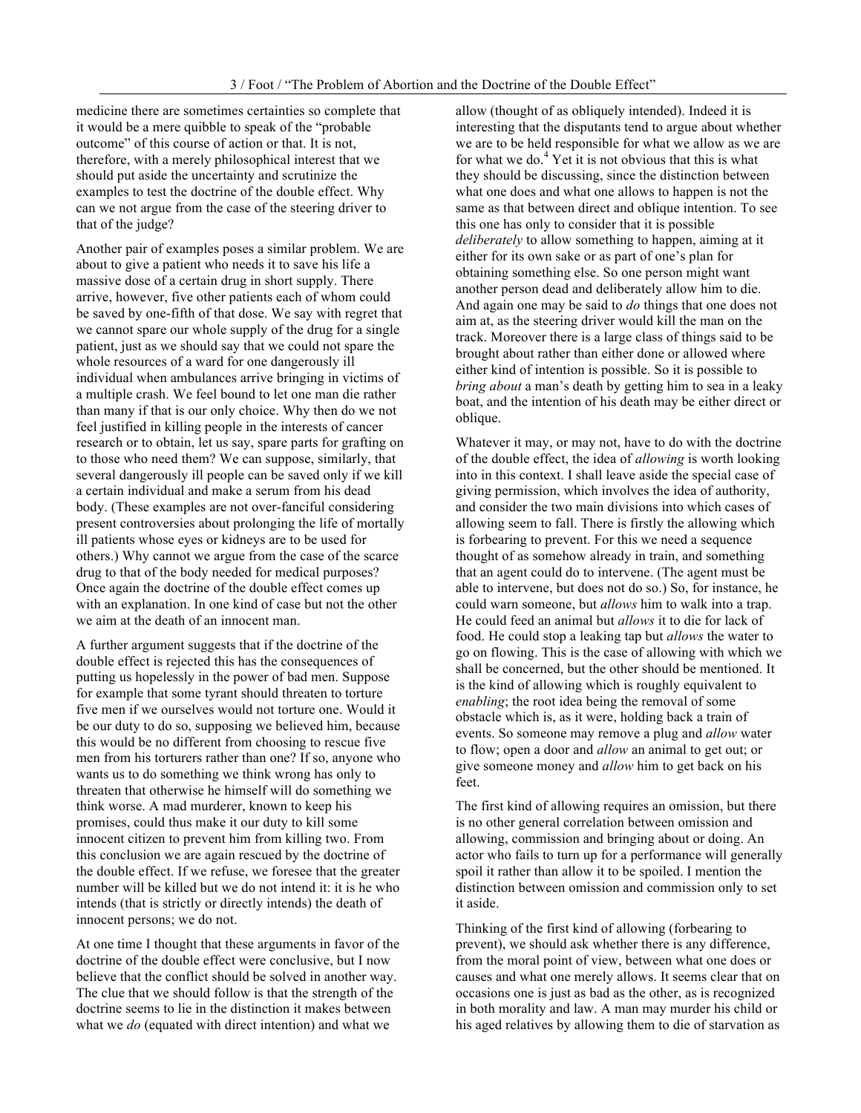medicine there are sometimes certainties so complete that it would be a mere quibble to speak of the "probable outcome" of this course of action or that. It is not, therefore, with a merely philosophical interest that we should put aside the uncertainty and scrutinize the examples to test the doctrine of the double effect. Why can we not argue from the case of the steering driver to that of the judge?

Another pair of examples poses a similar problem. We are about to give a patient who needs it to save his life a massive dose of a certain drug in short supply. There arrive, however, five other patients each of whom could be saved by one-fifth of that dose. We say with regret that we cannot spare our whole supply of the drug for a single patient, just as we should say that we could not spare the whole resources of a ward for one dangerously ill individual when ambulances arrive bringing in victims of a multiple crash. We feel bound to let one man die rather than many if that is our only choice. Why then do we not feel justified in killing people in the interests of cancer research or to obtain, let us say, spare parts for grafting on to those who need them? We can suppose, similarly, that several dangerously ill people can be saved only if we kill a certain individual and make a serum from his dead body. (These examples are not over-fanciful considering present controversies about prolonging the life of mortally ill patients whose eyes or kidneys are to be used for others.) Why cannot we argue from the case of the scarce drug to that of the body needed for medical purposes? Once again the doctrine of the double effect comes up with an explanation. In one kind of case but not the other we aim at the death of an innocent man.

A further argument suggests that if the doctrine of the double effect is rejected this has the consequences of putting us hopelessly in the power of bad men. Suppose for example that some tyrant should threaten to torture five men if we ourselves would not torture one. Would it be our duty to do so, supposing we believed him, because this would be no different from choosing to rescue five men from his torturers rather than one? If so, anyone who wants us to do something we think wrong has only to threaten that otherwise he himself will do something we think worse. A mad murderer, known to keep his promises, could thus make it our duty to kill some innocent citizen to prevent him from killing two. From this conclusion we are again rescued by the doctrine of the double effect. If we refuse, we foresee that the greater number will be killed but we do not intend it: it is he who intends (that is strictly or directly intends) the death of innocent persons; we do not.

At one time I thought that these arguments in favor of the doctrine of the double effect were conclusive, but I now believe that the conflict should be solved in another way. The clue that we should follow is that the strength of the doctrine seems to lie in the distinction it makes between what we *do* (equated with direct intention) and what we

allow (thought of as obliquely intended). Indeed it is interesting that the disputants tend to argue about whether we are to be held responsible for what we allow as we are for what we do.<sup>4</sup> Yet it is not obvious that this is what they should be discussing, since the distinction between what one does and what one allows to happen is not the same as that between direct and oblique intention. To see this one has only to consider that it is possible *deliberately* to allow something to happen, aiming at it either for its own sake or as part of one's plan for obtaining something else. So one person might want another person dead and deliberately allow him to die. And again one may be said to *do* things that one does not aim at, as the steering driver would kill the man on the track. Moreover there is a large class of things said to be brought about rather than either done or allowed where either kind of intention is possible. So it is possible to *bring about* a man's death by getting him to sea in a leaky boat, and the intention of his death may be either direct or oblique.

Whatever it may, or may not, have to do with the doctrine of the double effect, the idea of *allowing* is worth looking into in this context. I shall leave aside the special case of giving permission, which involves the idea of authority, and consider the two main divisions into which cases of allowing seem to fall. There is firstly the allowing which is forbearing to prevent. For this we need a sequence thought of as somehow already in train, and something that an agent could do to intervene. (The agent must be able to intervene, but does not do so.) So, for instance, he could warn someone, but *allows* him to walk into a trap. He could feed an animal but *allows* it to die for lack of food. He could stop a leaking tap but *allows* the water to go on flowing. This is the case of allowing with which we shall be concerned, but the other should be mentioned. It is the kind of allowing which is roughly equivalent to *enabling*; the root idea being the removal of some obstacle which is, as it were, holding back a train of events. So someone may remove a plug and *allow* water to flow; open a door and *allow* an animal to get out; or give someone money and *allow* him to get back on his feet.

The first kind of allowing requires an omission, but there is no other general correlation between omission and allowing, commission and bringing about or doing. An actor who fails to turn up for a performance will generally spoil it rather than allow it to be spoiled. I mention the distinction between omission and commission only to set it aside.

Thinking of the first kind of allowing (forbearing to prevent), we should ask whether there is any difference, from the moral point of view, between what one does or causes and what one merely allows. It seems clear that on occasions one is just as bad as the other, as is recognized in both morality and law. A man may murder his child or his aged relatives by allowing them to die of starvation as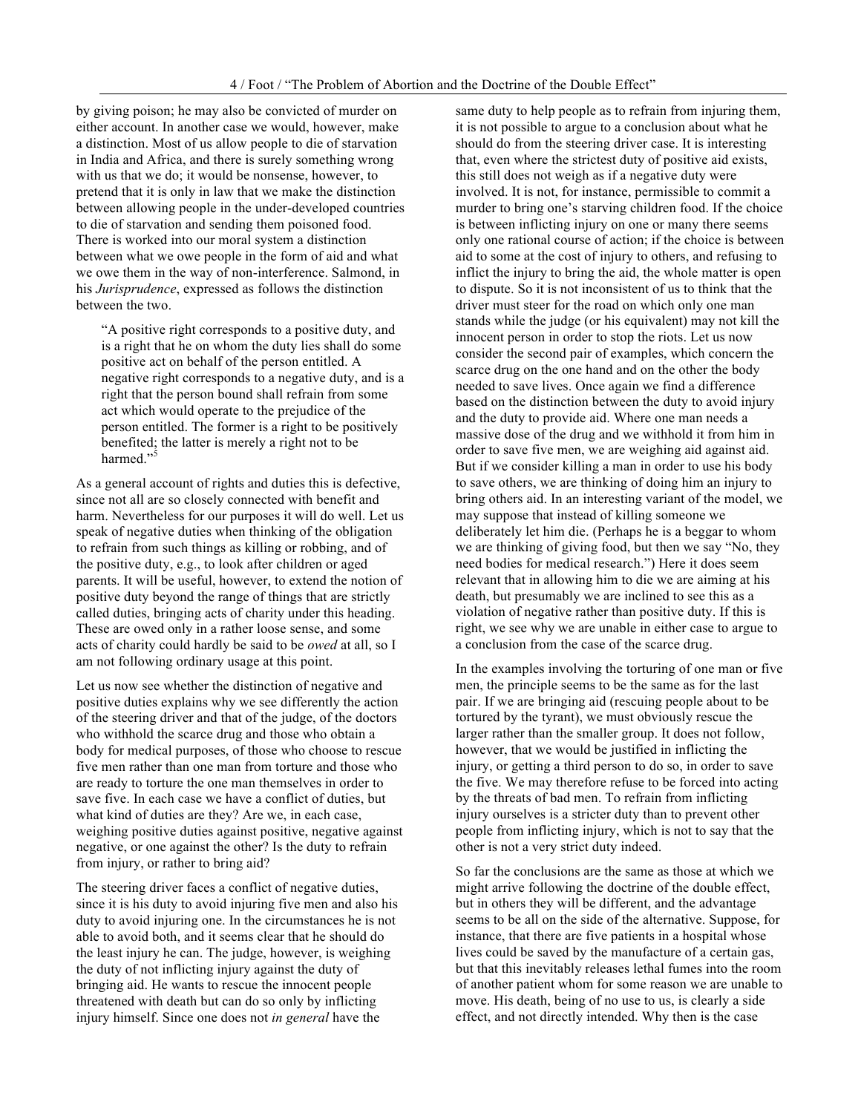by giving poison; he may also be convicted of murder on either account. In another case we would, however, make a distinction. Most of us allow people to die of starvation in India and Africa, and there is surely something wrong with us that we do; it would be nonsense, however, to pretend that it is only in law that we make the distinction between allowing people in the under-developed countries to die of starvation and sending them poisoned food. There is worked into our moral system a distinction between what we owe people in the form of aid and what we owe them in the way of non-interference. Salmond, in his *Jurisprudence*, expressed as follows the distinction between the two.

"A positive right corresponds to a positive duty, and is a right that he on whom the duty lies shall do some positive act on behalf of the person entitled. A negative right corresponds to a negative duty, and is a right that the person bound shall refrain from some act which would operate to the prejudice of the person entitled. The former is a right to be positively benefited; the latter is merely a right not to be harmed."<sup>5</sup>

As a general account of rights and duties this is defective, since not all are so closely connected with benefit and harm. Nevertheless for our purposes it will do well. Let us speak of negative duties when thinking of the obligation to refrain from such things as killing or robbing, and of the positive duty, e.g., to look after children or aged parents. It will be useful, however, to extend the notion of positive duty beyond the range of things that are strictly called duties, bringing acts of charity under this heading. These are owed only in a rather loose sense, and some acts of charity could hardly be said to be *owed* at all, so I am not following ordinary usage at this point.

Let us now see whether the distinction of negative and positive duties explains why we see differently the action of the steering driver and that of the judge, of the doctors who withhold the scarce drug and those who obtain a body for medical purposes, of those who choose to rescue five men rather than one man from torture and those who are ready to torture the one man themselves in order to save five. In each case we have a conflict of duties, but what kind of duties are they? Are we, in each case, weighing positive duties against positive, negative against negative, or one against the other? Is the duty to refrain from injury, or rather to bring aid?

The steering driver faces a conflict of negative duties, since it is his duty to avoid injuring five men and also his duty to avoid injuring one. In the circumstances he is not able to avoid both, and it seems clear that he should do the least injury he can. The judge, however, is weighing the duty of not inflicting injury against the duty of bringing aid. He wants to rescue the innocent people threatened with death but can do so only by inflicting injury himself. Since one does not *in general* have the

same duty to help people as to refrain from injuring them, it is not possible to argue to a conclusion about what he should do from the steering driver case. It is interesting that, even where the strictest duty of positive aid exists, this still does not weigh as if a negative duty were involved. It is not, for instance, permissible to commit a murder to bring one's starving children food. If the choice is between inflicting injury on one or many there seems only one rational course of action; if the choice is between aid to some at the cost of injury to others, and refusing to inflict the injury to bring the aid, the whole matter is open to dispute. So it is not inconsistent of us to think that the driver must steer for the road on which only one man stands while the judge (or his equivalent) may not kill the innocent person in order to stop the riots. Let us now consider the second pair of examples, which concern the scarce drug on the one hand and on the other the body needed to save lives. Once again we find a difference based on the distinction between the duty to avoid injury and the duty to provide aid. Where one man needs a massive dose of the drug and we withhold it from him in order to save five men, we are weighing aid against aid. But if we consider killing a man in order to use his body to save others, we are thinking of doing him an injury to bring others aid. In an interesting variant of the model, we may suppose that instead of killing someone we deliberately let him die. (Perhaps he is a beggar to whom we are thinking of giving food, but then we say "No, they need bodies for medical research.") Here it does seem relevant that in allowing him to die we are aiming at his death, but presumably we are inclined to see this as a violation of negative rather than positive duty. If this is right, we see why we are unable in either case to argue to a conclusion from the case of the scarce drug.

In the examples involving the torturing of one man or five men, the principle seems to be the same as for the last pair. If we are bringing aid (rescuing people about to be tortured by the tyrant), we must obviously rescue the larger rather than the smaller group. It does not follow, however, that we would be justified in inflicting the injury, or getting a third person to do so, in order to save the five. We may therefore refuse to be forced into acting by the threats of bad men. To refrain from inflicting injury ourselves is a stricter duty than to prevent other people from inflicting injury, which is not to say that the other is not a very strict duty indeed.

So far the conclusions are the same as those at which we might arrive following the doctrine of the double effect, but in others they will be different, and the advantage seems to be all on the side of the alternative. Suppose, for instance, that there are five patients in a hospital whose lives could be saved by the manufacture of a certain gas, but that this inevitably releases lethal fumes into the room of another patient whom for some reason we are unable to move. His death, being of no use to us, is clearly a side effect, and not directly intended. Why then is the case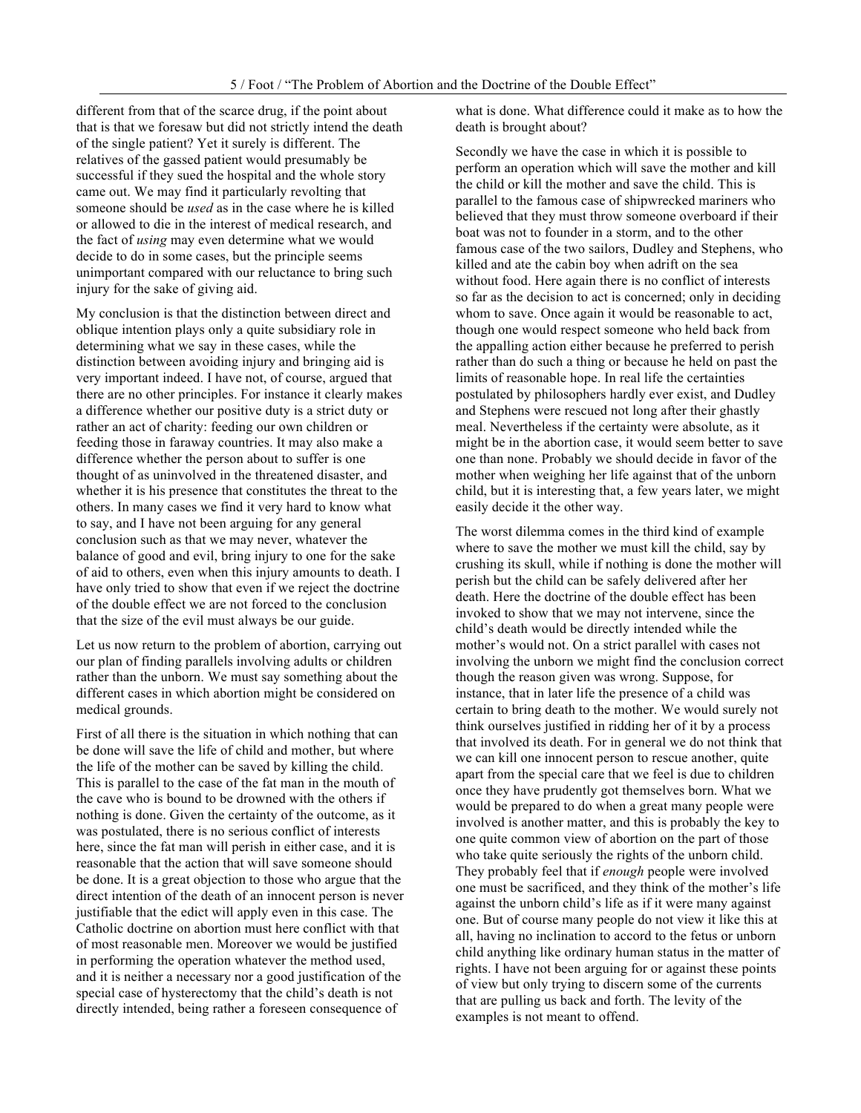different from that of the scarce drug, if the point about that is that we foresaw but did not strictly intend the death of the single patient? Yet it surely is different. The relatives of the gassed patient would presumably be successful if they sued the hospital and the whole story came out. We may find it particularly revolting that someone should be *used* as in the case where he is killed or allowed to die in the interest of medical research, and the fact of *using* may even determine what we would decide to do in some cases, but the principle seems unimportant compared with our reluctance to bring such injury for the sake of giving aid.

My conclusion is that the distinction between direct and oblique intention plays only a quite subsidiary role in determining what we say in these cases, while the distinction between avoiding injury and bringing aid is very important indeed. I have not, of course, argued that there are no other principles. For instance it clearly makes a difference whether our positive duty is a strict duty or rather an act of charity: feeding our own children or feeding those in faraway countries. It may also make a difference whether the person about to suffer is one thought of as uninvolved in the threatened disaster, and whether it is his presence that constitutes the threat to the others. In many cases we find it very hard to know what to say, and I have not been arguing for any general conclusion such as that we may never, whatever the balance of good and evil, bring injury to one for the sake of aid to others, even when this injury amounts to death. I have only tried to show that even if we reject the doctrine of the double effect we are not forced to the conclusion that the size of the evil must always be our guide.

Let us now return to the problem of abortion, carrying out our plan of finding parallels involving adults or children rather than the unborn. We must say something about the different cases in which abortion might be considered on medical grounds.

First of all there is the situation in which nothing that can be done will save the life of child and mother, but where the life of the mother can be saved by killing the child. This is parallel to the case of the fat man in the mouth of the cave who is bound to be drowned with the others if nothing is done. Given the certainty of the outcome, as it was postulated, there is no serious conflict of interests here, since the fat man will perish in either case, and it is reasonable that the action that will save someone should be done. It is a great objection to those who argue that the direct intention of the death of an innocent person is never justifiable that the edict will apply even in this case. The Catholic doctrine on abortion must here conflict with that of most reasonable men. Moreover we would be justified in performing the operation whatever the method used, and it is neither a necessary nor a good justification of the special case of hysterectomy that the child's death is not directly intended, being rather a foreseen consequence of

what is done. What difference could it make as to how the death is brought about?

Secondly we have the case in which it is possible to perform an operation which will save the mother and kill the child or kill the mother and save the child. This is parallel to the famous case of shipwrecked mariners who believed that they must throw someone overboard if their boat was not to founder in a storm, and to the other famous case of the two sailors, Dudley and Stephens, who killed and ate the cabin boy when adrift on the sea without food. Here again there is no conflict of interests so far as the decision to act is concerned; only in deciding whom to save. Once again it would be reasonable to act, though one would respect someone who held back from the appalling action either because he preferred to perish rather than do such a thing or because he held on past the limits of reasonable hope. In real life the certainties postulated by philosophers hardly ever exist, and Dudley and Stephens were rescued not long after their ghastly meal. Nevertheless if the certainty were absolute, as it might be in the abortion case, it would seem better to save one than none. Probably we should decide in favor of the mother when weighing her life against that of the unborn child, but it is interesting that, a few years later, we might easily decide it the other way.

The worst dilemma comes in the third kind of example where to save the mother we must kill the child, say by crushing its skull, while if nothing is done the mother will perish but the child can be safely delivered after her death. Here the doctrine of the double effect has been invoked to show that we may not intervene, since the child's death would be directly intended while the mother's would not. On a strict parallel with cases not involving the unborn we might find the conclusion correct though the reason given was wrong. Suppose, for instance, that in later life the presence of a child was certain to bring death to the mother. We would surely not think ourselves justified in ridding her of it by a process that involved its death. For in general we do not think that we can kill one innocent person to rescue another, quite apart from the special care that we feel is due to children once they have prudently got themselves born. What we would be prepared to do when a great many people were involved is another matter, and this is probably the key to one quite common view of abortion on the part of those who take quite seriously the rights of the unborn child. They probably feel that if *enough* people were involved one must be sacrificed, and they think of the mother's life against the unborn child's life as if it were many against one. But of course many people do not view it like this at all, having no inclination to accord to the fetus or unborn child anything like ordinary human status in the matter of rights. I have not been arguing for or against these points of view but only trying to discern some of the currents that are pulling us back and forth. The levity of the examples is not meant to offend.